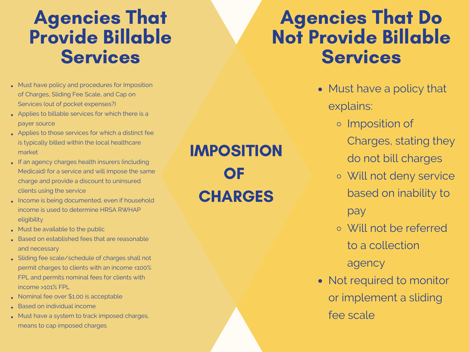## Agencies That Provide Billable **Services**

- Must have policy and procedures for Imposition of Charges, Sliding Fee Scale, and Cap on Services (out of pocket expenses?)
- Applies to billable services for which there is a payer source
- Applies to those services for which a distinct fee is typically billed within the local healthcare market
- If an agency charges health insurers (including Medicaid) for a service and will impose the same charge and provide a discount to uninsured clients using the service
- . Income is being documented, even if household income is used to determine HRSA RWHAP eligibility
- Must be available to the public
- Based on established fees that are reasonable and necessary
- Sliding fee scale/schedule of charges shall not permit charges to clients with an income ≤100% FPL and permits nominal fees for clients with income >101% FPL
- Nominal fee over \$1.00 is acceptable
- **Based on individual income**
- Must have a system to track imposed charges, means to cap imposed charges

IMPOSITION OF **CHARGES** 

## Agencies That Do Not Provide Billable **Services**

- Must have a policy that explains:
	- o Imposition of
		- Charges, stating they do not bill charges
	- Will not deny service based on inability to

pay

- Will not be referred to a collection agency
- Not required to monitor or implement a sliding fee scale